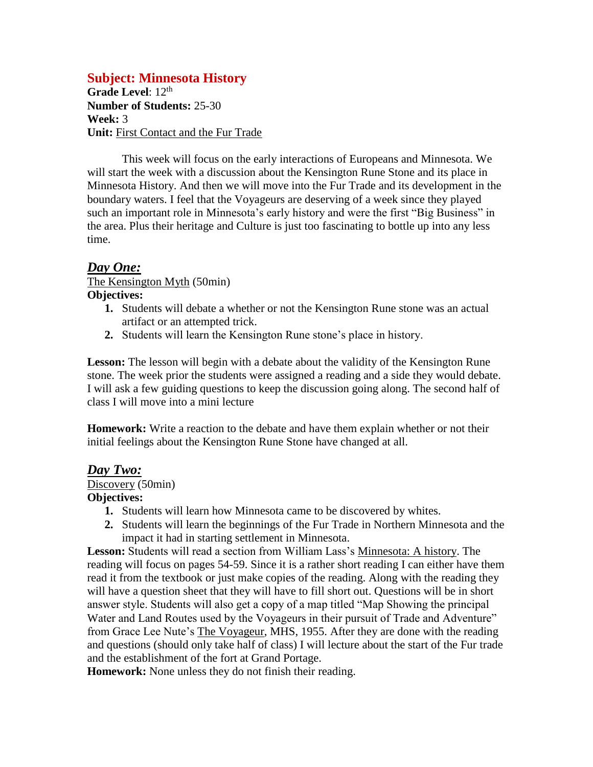## **Subject: Minnesota History**

Grade Level: 12<sup>th</sup> **Number of Students:** 25-30 **Week:** 3 **Unit:** First Contact and the Fur Trade

This week will focus on the early interactions of Europeans and Minnesota. We will start the week with a discussion about the Kensington Rune Stone and its place in Minnesota History. And then we will move into the Fur Trade and its development in the boundary waters. I feel that the Voyageurs are deserving of a week since they played such an important role in Minnesota's early history and were the first "Big Business" in the area. Plus their heritage and Culture is just too fascinating to bottle up into any less time.

## *Day One:*

#### The Kensington Myth (50min) **Objectives:**

- **1.** Students will debate a whether or not the Kensington Rune stone was an actual artifact or an attempted trick.
- **2.** Students will learn the Kensington Rune stone's place in history.

Lesson: The lesson will begin with a debate about the validity of the Kensington Rune stone. The week prior the students were assigned a reading and a side they would debate. I will ask a few guiding questions to keep the discussion going along. The second half of class I will move into a mini lecture

**Homework:** Write a reaction to the debate and have them explain whether or not their initial feelings about the Kensington Rune Stone have changed at all.

### *Day Two:*

Discovery (50min)

### **Objectives:**

- **1.** Students will learn how Minnesota came to be discovered by whites.
- **2.** Students will learn the beginnings of the Fur Trade in Northern Minnesota and the impact it had in starting settlement in Minnesota.

**Lesson:** Students will read a section from William Lass's Minnesota: A history. The reading will focus on pages 54-59. Since it is a rather short reading I can either have them read it from the textbook or just make copies of the reading. Along with the reading they will have a question sheet that they will have to fill short out. Questions will be in short answer style. Students will also get a copy of a map titled "Map Showing the principal Water and Land Routes used by the Voyageurs in their pursuit of Trade and Adventure" from Grace Lee Nute's The Voyageur, MHS, 1955. After they are done with the reading and questions (should only take half of class) I will lecture about the start of the Fur trade and the establishment of the fort at Grand Portage.

**Homework:** None unless they do not finish their reading.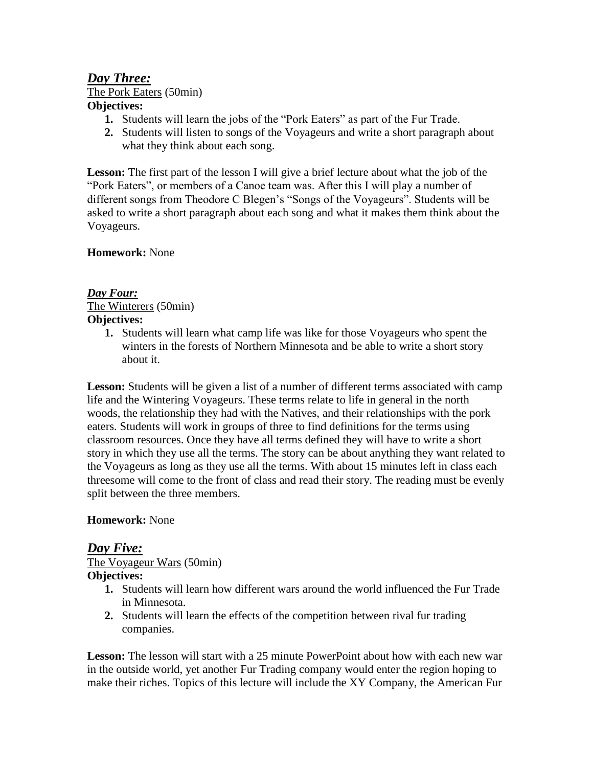# *Day Three:* The Pork Eaters (50min) **Objectives:**

- **1.** Students will learn the jobs of the "Pork Eaters" as part of the Fur Trade.
- **2.** Students will listen to songs of the Voyageurs and write a short paragraph about what they think about each song.

**Lesson:** The first part of the lesson I will give a brief lecture about what the job of the "Pork Eaters", or members of a Canoe team was. After this I will play a number of different songs from Theodore C Blegen's "Songs of the Voyageurs". Students will be asked to write a short paragraph about each song and what it makes them think about the Voyageurs.

### **Homework:** None

### *Day Four:* The Winterers (50min) **Objectives:**

**1.** Students will learn what camp life was like for those Voyageurs who spent the winters in the forests of Northern Minnesota and be able to write a short story about it.

Lesson: Students will be given a list of a number of different terms associated with camp life and the Wintering Voyageurs. These terms relate to life in general in the north woods, the relationship they had with the Natives, and their relationships with the pork eaters. Students will work in groups of three to find definitions for the terms using classroom resources. Once they have all terms defined they will have to write a short story in which they use all the terms. The story can be about anything they want related to the Voyageurs as long as they use all the terms. With about 15 minutes left in class each threesome will come to the front of class and read their story. The reading must be evenly split between the three members.

### **Homework:** None

### *Day Five:*

The Voyageur Wars (50min)

#### **Objectives:**

- **1.** Students will learn how different wars around the world influenced the Fur Trade in Minnesota.
- **2.** Students will learn the effects of the competition between rival fur trading companies.

**Lesson:** The lesson will start with a 25 minute PowerPoint about how with each new war in the outside world, yet another Fur Trading company would enter the region hoping to make their riches. Topics of this lecture will include the XY Company, the American Fur